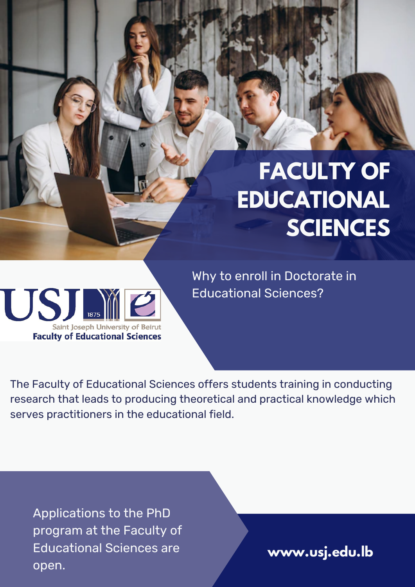# **FACULTY OF EDUCATIONAL SCIENCES**



Why to enroll in Doctorate in Educational Sciences?

The Faculty of Educational Sciences offers students training in conducting research that leads to producing theoretical and practical knowledge which serves practitioners in the educational field.

Applications to the PhD program at the Faculty of Educational Sciences are open.

**www.usj.edu.lb**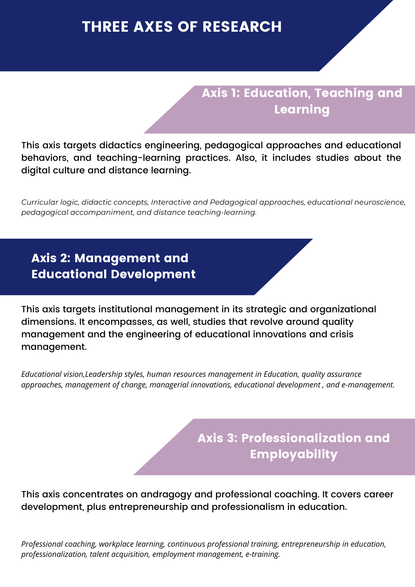## THREE AXES OF RESEARCH

### Axis 1: Education, Teaching and Learning

This axis targets didactics engineering, pedagogical approaches and educational behaviors, and teaching-learning practices. Also, it includes studies about the digital culture and distance learning.

*Curricular logic, didactic concepts, Interactive and Pedagogical approaches, educational neuroscience, pedagogical accompaniment, and distance teaching-learning.*

### Axis 2: Management and Educational Development

This axis targets institutional management in its strategic and organizational dimensions. It encompasses, as well, studies that revolve around quality management and the engineering of educational innovations and crisis management.

*Educational vision,Leadership styles, human resources management in Education, quality assurance approaches, management of change, managerial innovations, educational development , and e-management.*

## Axis 3: Professionalization and Employability

This axis concentrates on andragogy and professional coaching. It covers career development, plus entrepreneurship and professionalism in education.

*Professional coaching, workplace learning, continuous professional training, entrepreneurship in education, professionalization, talent acquisition, employment management, e-training.*